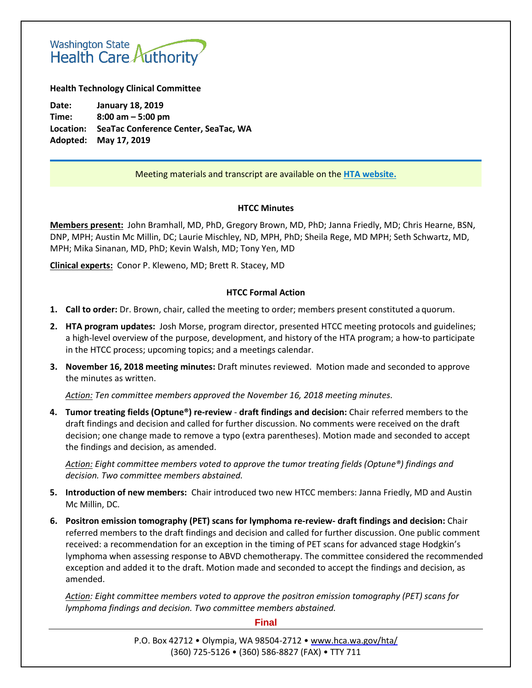# Washington State<br>Health Care Authority

**Health Technology Clinical Committee**

**Date: January 18, 2019 Time: 8:00 am – 5:00 pm Location: SeaTac Conference Center, SeaTac, WA Adopted: May 17, 2019**

#### Meeting materials and transcript are available on the **[HTA website.](http://www.hca.wa.gov/about-hca/health-technology-assessment/meetings-and-materials)**

#### **HTCC Minutes**

**Members present:** John Bramhall, MD, PhD, Gregory Brown, MD, PhD; Janna Friedly, MD; Chris Hearne, BSN, DNP, MPH; Austin Mc Millin, DC; Laurie Mischley, ND, MPH, PhD; Sheila Rege, MD MPH; Seth Schwartz, MD, MPH; Mika Sinanan, MD, PhD; Kevin Walsh, MD; Tony Yen, MD

**Clinical experts:** Conor P. Kleweno, MD; Brett R. Stacey, MD

#### **HTCC Formal Action**

- **1. Call to order:** Dr. Brown, chair, called the meeting to order; members present constituted a quorum.
- **2. HTA program updates:** Josh Morse, program director, presented HTCC meeting protocols and guidelines; a high-level overview of the purpose, development, and history of the HTA program; a how-to participate in the HTCC process; upcoming topics; and a meetings calendar.
- **3. November 16, 2018 meeting minutes:** Draft minutes reviewed. Motion made and seconded to approve the minutes as written.

*Action: Ten committee members approved the November 16, 2018 meeting minutes.*

**4. Tumor treating fields (Optune®) re-review** - **draft findings and decision:** Chair referred members to the draft findings and decision and called for further discussion. No comments were received on the draft decision; one change made to remove a typo (extra parentheses). Motion made and seconded to accept the findings and decision, as amended.

*Action: Eight committee members voted to approve the tumor treating fields (Optune®) findings and decision. Two committee members abstained.*

- **5. Introduction of new members:** Chair introduced two new HTCC members: Janna Friedly, MD and Austin Mc Millin, DC.
- **6. Positron emission tomography (PET) scans for lymphoma re-review- draft findings and decision:** Chair referred members to the draft findings and decision and called for further discussion. One public comment received: a recommendation for an exception in the timing of PET scans for advanced stage Hodgkin's lymphoma when assessing response to ABVD chemotherapy. The committee considered the recommended exception and added it to the draft. Motion made and seconded to accept the findings and decision, as amended.

*Action: Eight committee members voted to approve the positron emission tomography (PET) scans for lymphoma findings and decision. Two committee members abstained.*

#### **Final**

P.O. Box 42712 • Olympia, WA 98504-2712 • [www.hca.wa.gov/hta/](http://www.hca.wa.gov/hta/) (360) 725-5126 • (360) 586-8827 (FAX) • TTY 711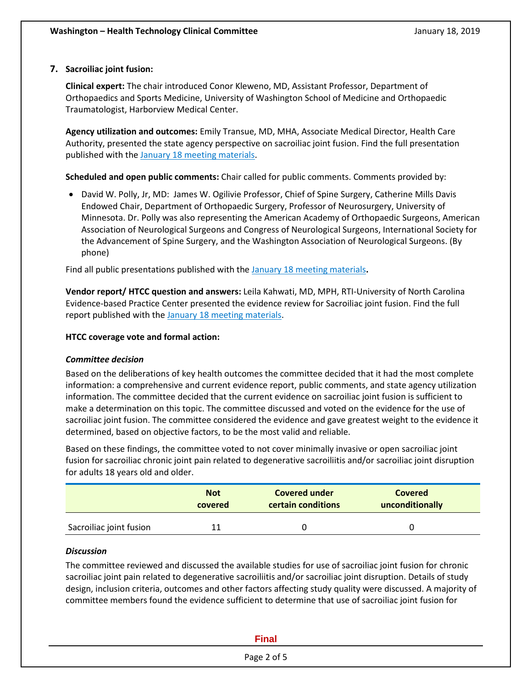## **7. Sacroiliac joint fusion:**

**Clinical expert:** The chair introduced Conor Kleweno, MD, Assistant Professor, Department of Orthopaedics and Sports Medicine, University of Washington School of Medicine and Orthopaedic Traumatologist, Harborview Medical Center.

**Agency utilization and outcomes:** Emily Transue, MD, MHA, Associate Medical Director, Health Care Authority, presented the state agency perspective on sacroiliac joint fusion. Find the full presentation published with the January 18 [meeting materials.](http://www.hca.wa.gov/about-hca/health-technology-assessment/meetings-and-materials)

**Scheduled and open public comments:** Chair called for public comments. Comments provided by:

• David W. Polly, Jr, MD: James W. Ogilivie Professor, Chief of Spine Surgery, Catherine Mills Davis Endowed Chair, Department of Orthopaedic Surgery, Professor of Neurosurgery, University of Minnesota. Dr. Polly was also representing the American Academy of Orthopaedic Surgeons, American Association of Neurological Surgeons and Congress of Neurological Surgeons, International Society for the Advancement of Spine Surgery, and the Washington Association of Neurological Surgeons. (By phone)

Find all public presentations published with the January 18 [meeting materials](http://www.hca.wa.gov/about-hca/health-technology-assessment/meetings-and-materials)**.**

**Vendor report/ HTCC question and answers:** Leila Kahwati, MD, MPH, RTI-University of North Carolina Evidence-based Practice Center presented the evidence review for Sacroiliac joint fusion. Find the full report published with the January 18 [meeting materials.](http://www.hca.wa.gov/about-hca/health-technology-assessment/meetings-and-materials)

#### **HTCC coverage vote and formal action:**

#### *Committee decision*

Based on the deliberations of key health outcomes the committee decided that it had the most complete information: a comprehensive and current evidence report, public comments, and state agency utilization information. The committee decided that the current evidence on sacroiliac joint fusion is sufficient to make a determination on this topic. The committee discussed and voted on the evidence for the use of sacroiliac joint fusion. The committee considered the evidence and gave greatest weight to the evidence it determined, based on objective factors, to be the most valid and reliable.

Based on these findings, the committee voted to not cover minimally invasive or open sacroiliac joint fusion for sacroiliac chronic joint pain related to degenerative sacroiliitis and/or sacroiliac joint disruption for adults 18 years old and older.

|                         | <b>Not</b> | <b>Covered under</b>      | <b>Covered</b>  |
|-------------------------|------------|---------------------------|-----------------|
|                         | covered    | <b>certain conditions</b> | unconditionally |
| Sacroiliac joint fusion |            |                           |                 |

#### *Discussion*

The committee reviewed and discussed the available studies for use of sacroiliac joint fusion for chronic sacroiliac joint pain related to degenerative sacroiliitis and/or sacroiliac joint disruption. Details of study design, inclusion criteria, outcomes and other factors affecting study quality were discussed. A majority of committee members found the evidence sufficient to determine that use of sacroiliac joint fusion for

| <b>Final</b> |  |
|--------------|--|
| Page 2 of 5  |  |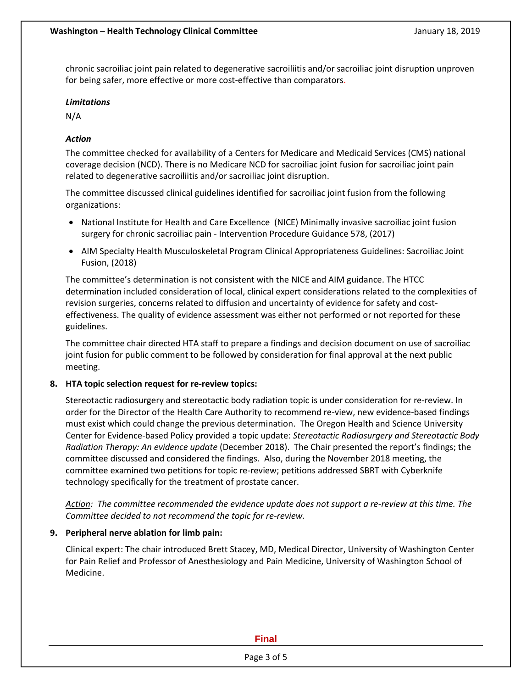chronic sacroiliac joint pain related to degenerative sacroiliitis and/or sacroiliac joint disruption unproven for being safer, more effective or more cost-effective than comparators.

#### *Limitations*

N/A

## *Action*

The committee checked for availability of a Centers for Medicare and Medicaid Services (CMS) national coverage decision (NCD). There is no Medicare NCD for sacroiliac joint fusion for sacroiliac joint pain related to degenerative sacroiliitis and/or sacroiliac joint disruption.

The committee discussed clinical guidelines identified for sacroiliac joint fusion from the following organizations:

- National Institute for Health and Care Excellence (NICE) Minimally invasive sacroiliac joint fusion surgery for chronic sacroiliac pain - Intervention Procedure Guidance 578, (2017)
- AIM Specialty Health Musculoskeletal Program Clinical Appropriateness Guidelines: Sacroiliac Joint Fusion, (2018)

The committee's determination is not consistent with the NICE and AIM guidance. The HTCC determination included consideration of local, clinical expert considerations related to the complexities of revision surgeries, concerns related to diffusion and uncertainty of evidence for safety and costeffectiveness. The quality of evidence assessment was either not performed or not reported for these guidelines.

The committee chair directed HTA staff to prepare a findings and decision document on use of sacroiliac joint fusion for public comment to be followed by consideration for final approval at the next public meeting.

#### **8. HTA topic selection request for re-review topics:**

Stereotactic radiosurgery and stereotactic body radiation topic is under consideration for re-review. In order for the Director of the Health Care Authority to recommend re-view, new evidence-based findings must exist which could change the previous determination. The Oregon Health and Science University Center for Evidence-based Policy provided a topic update: *Stereotactic Radiosurgery and Stereotactic Body Radiation Therapy: An evidence update* (December 2018). The Chair presented the report's findings; the committee discussed and considered the findings. Also, during the November 2018 meeting, the committee examined two petitions for topic re-review; petitions addressed SBRT with Cyberknife technology specifically for the treatment of prostate cancer.

*Action: The committee recommended the evidence update does not support a re-review at this time. The Committee decided to not recommend the topic for re-review.* 

#### **9. Peripheral nerve ablation for limb pain:**

Clinical expert: The chair introduced Brett Stacey, MD, Medical Director, University of Washington Center for Pain Relief and Professor of Anesthesiology and Pain Medicine, University of Washington School of Medicine.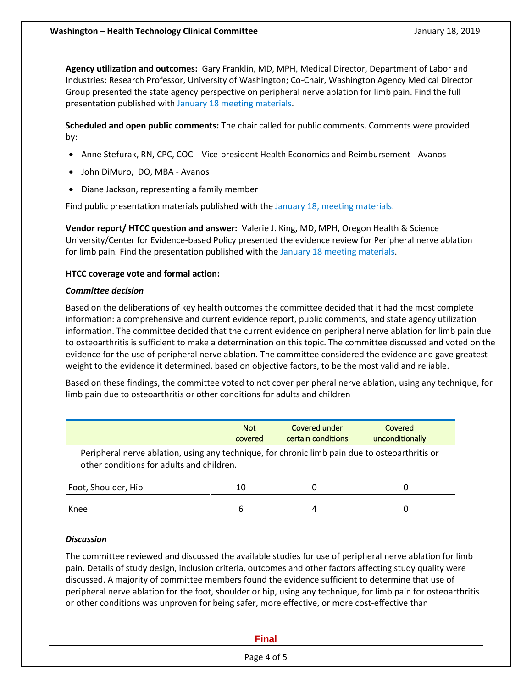**Agency utilization and outcomes:** Gary Franklin, MD, MPH, Medical Director, Department of Labor and Industries; Research Professor, University of Washington; Co-Chair, Washington Agency Medical Director Group presented the state agency perspective on peripheral nerve ablation for limb pain. Find the full presentation published with [January 18 meeting materials.](http://www.hca.wa.gov/about-hca/health-technology-assessment/meetings-and-materials)

**Scheduled and open public comments:** The chair called for public comments. Comments were provided by:

- Anne Stefurak, RN, CPC, COC Vice-president Health Economics and Reimbursement Avanos
- John DiMuro, DO, MBA Avanos
- Diane Jackson, representing a family member

Find public presentation materials published with the [January 18, meeting materials.](http://www.hca.wa.gov/about-hca/health-technology-assessment/meetings-and-materials)

**Vendor report/ HTCC question and answer:** Valerie J. King, MD, MPH, Oregon Health & Science University/Center for Evidence-based Policy presented the evidence review for Peripheral nerve ablation for limb pain*.* Find the presentation published with the January 18 [meeting materials.](http://www.hca.wa.gov/about-hca/health-technology-assessment/meetings-and-materials)

#### **HTCC coverage vote and formal action:**

#### *Committee decision*

Based on the deliberations of key health outcomes the committee decided that it had the most complete information: a comprehensive and current evidence report, public comments, and state agency utilization information. The committee decided that the current evidence on peripheral nerve ablation for limb pain due to osteoarthritis is sufficient to make a determination on this topic. The committee discussed and voted on the evidence for the use of peripheral nerve ablation. The committee considered the evidence and gave greatest weight to the evidence it determined, based on objective factors, to be the most valid and reliable.

Based on these findings, the committee voted to not cover peripheral nerve ablation, using any technique, for limb pain due to osteoarthritis or other conditions for adults and children

|                                                                                                                                             | <b>Not</b><br>covered | Covered under<br>certain conditions | Covered<br>unconditionally |  |  |  |
|---------------------------------------------------------------------------------------------------------------------------------------------|-----------------------|-------------------------------------|----------------------------|--|--|--|
| Peripheral nerve ablation, using any technique, for chronic limb pain due to osteoarthritis or<br>other conditions for adults and children. |                       |                                     |                            |  |  |  |
| Foot, Shoulder, Hip                                                                                                                         | 10                    |                                     | O                          |  |  |  |
| Knee                                                                                                                                        | 6                     |                                     | 0                          |  |  |  |

#### *Discussion*

The committee reviewed and discussed the available studies for use of peripheral nerve ablation for limb pain. Details of study design, inclusion criteria, outcomes and other factors affecting study quality were discussed. A majority of committee members found the evidence sufficient to determine that use of peripheral nerve ablation for the foot, shoulder or hip, using any technique, for limb pain for osteoarthritis or other conditions was unproven for being safer, more effective, or more cost-effective than

#### **Final**